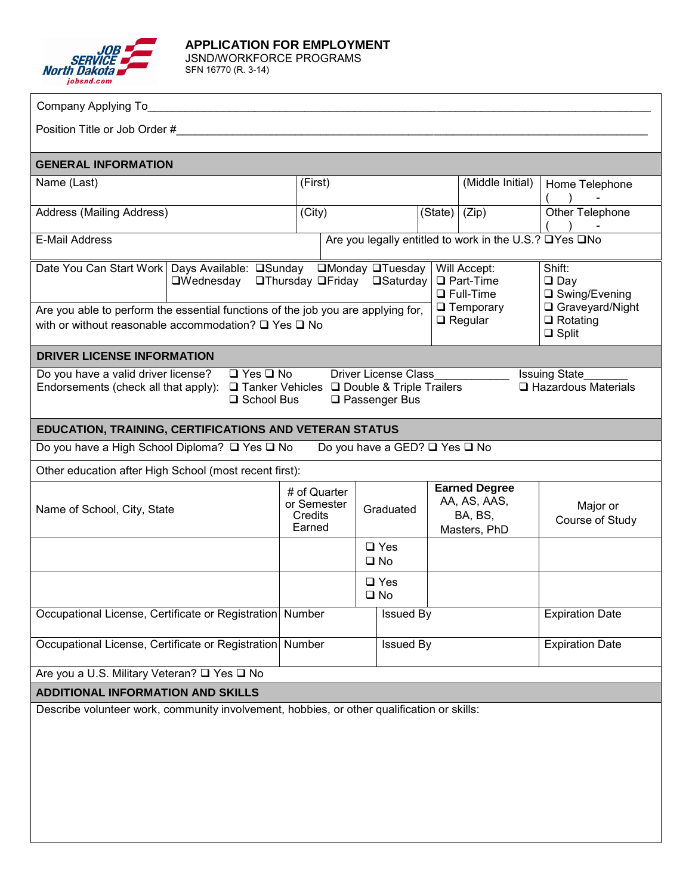

**APPLICATION FOR EMPLOYMENT**  JSND/WORKFORCE PROGRAMS SFN 16770 (R. 3-14)

| Company Applying To_                                                                                                                                                                                                                                                                               |                                                  |                               |                                                                                            |  |                                                                 |                                                                                                    |                                                   |
|----------------------------------------------------------------------------------------------------------------------------------------------------------------------------------------------------------------------------------------------------------------------------------------------------|--------------------------------------------------|-------------------------------|--------------------------------------------------------------------------------------------|--|-----------------------------------------------------------------|----------------------------------------------------------------------------------------------------|---------------------------------------------------|
|                                                                                                                                                                                                                                                                                                    |                                                  |                               |                                                                                            |  |                                                                 |                                                                                                    |                                                   |
| <b>GENERAL INFORMATION</b>                                                                                                                                                                                                                                                                         |                                                  |                               |                                                                                            |  |                                                                 |                                                                                                    |                                                   |
| Name (Last)                                                                                                                                                                                                                                                                                        | (First)                                          |                               |                                                                                            |  | (Middle Initial)                                                |                                                                                                    | Home Telephone<br>$\rightarrow$<br>$\blacksquare$ |
| Address (Mailing Address)                                                                                                                                                                                                                                                                          | $\overline{(City)}$                              |                               |                                                                                            |  | (State)   (Zip)                                                 |                                                                                                    | Other Telephone                                   |
| Are you legally entitled to work in the U.S.? □Yes □No<br><b>E-Mail Address</b>                                                                                                                                                                                                                    |                                                  |                               |                                                                                            |  |                                                                 |                                                                                                    |                                                   |
| Date You Can Start Work   Days Available: □Sunday □Monday □Tuesday  <br>Are you able to perform the essential functions of the job you are applying for,<br>with or without reasonable accommodation? $\Box$ Yes $\Box$ No                                                                         | □Wednesday □Thursday □Friday □Saturday           |                               | Will Accept:<br>$\Box$ Part-Time<br>$\Box$ Full-Time<br>$\Box$ Temporary<br>$\Box$ Regular |  |                                                                 | Shift:<br>$\square$ Day<br>□ Swing/Evening<br>□ Graveyard/Night<br>$\Box$ Rotating<br>$\Box$ Split |                                                   |
| <b>DRIVER LICENSE INFORMATION</b>                                                                                                                                                                                                                                                                  |                                                  |                               |                                                                                            |  |                                                                 |                                                                                                    |                                                   |
| $\Box$ Yes $\Box$ No<br>Do you have a valid driver license?<br><b>Driver License Class</b><br><b>Issuing State</b><br>$\Box$ Hazardous Materials<br>Endorsements (check all that apply):<br>$\Box$ Tanker Vehicles $\Box$ Double & Triple Trailers<br>$\square$ Passenger Bus<br>$\Box$ School Bus |                                                  |                               |                                                                                            |  |                                                                 |                                                                                                    |                                                   |
| EDUCATION, TRAINING, CERTIFICATIONS AND VETERAN STATUS                                                                                                                                                                                                                                             |                                                  |                               |                                                                                            |  |                                                                 |                                                                                                    |                                                   |
| Do you have a High School Diploma? □ Yes □ No<br>Do you have a GED? □ Yes □ No                                                                                                                                                                                                                     |                                                  |                               |                                                                                            |  |                                                                 |                                                                                                    |                                                   |
| Other education after High School (most recent first):                                                                                                                                                                                                                                             |                                                  |                               |                                                                                            |  |                                                                 |                                                                                                    |                                                   |
| Name of School, City, State                                                                                                                                                                                                                                                                        | # of Quarter<br>or Semester<br>Credits<br>Earned |                               | Graduated                                                                                  |  | <b>Earned Degree</b><br>AA, AS, AAS,<br>BA, BS,<br>Masters, PhD |                                                                                                    | Major or<br>Course of Study                       |
|                                                                                                                                                                                                                                                                                                    |                                                  | $\square$ Yes<br>$\square$ No |                                                                                            |  |                                                                 |                                                                                                    |                                                   |
|                                                                                                                                                                                                                                                                                                    |                                                  | $\square$ Yes<br>$\square$ No |                                                                                            |  |                                                                 |                                                                                                    |                                                   |
| Occupational License, Certificate or Registration Number                                                                                                                                                                                                                                           |                                                  |                               | <b>Issued By</b>                                                                           |  |                                                                 |                                                                                                    | <b>Expiration Date</b>                            |
| Occupational License, Certificate or Registration Number                                                                                                                                                                                                                                           |                                                  |                               | <b>Issued By</b>                                                                           |  |                                                                 | <b>Expiration Date</b>                                                                             |                                                   |
| Are you a U.S. Military Veteran? □ Yes □ No                                                                                                                                                                                                                                                        |                                                  |                               |                                                                                            |  |                                                                 |                                                                                                    |                                                   |
| <b>ADDITIONAL INFORMATION AND SKILLS</b>                                                                                                                                                                                                                                                           |                                                  |                               |                                                                                            |  |                                                                 |                                                                                                    |                                                   |
| Describe volunteer work, community involvement, hobbies, or other qualification or skills:                                                                                                                                                                                                         |                                                  |                               |                                                                                            |  |                                                                 |                                                                                                    |                                                   |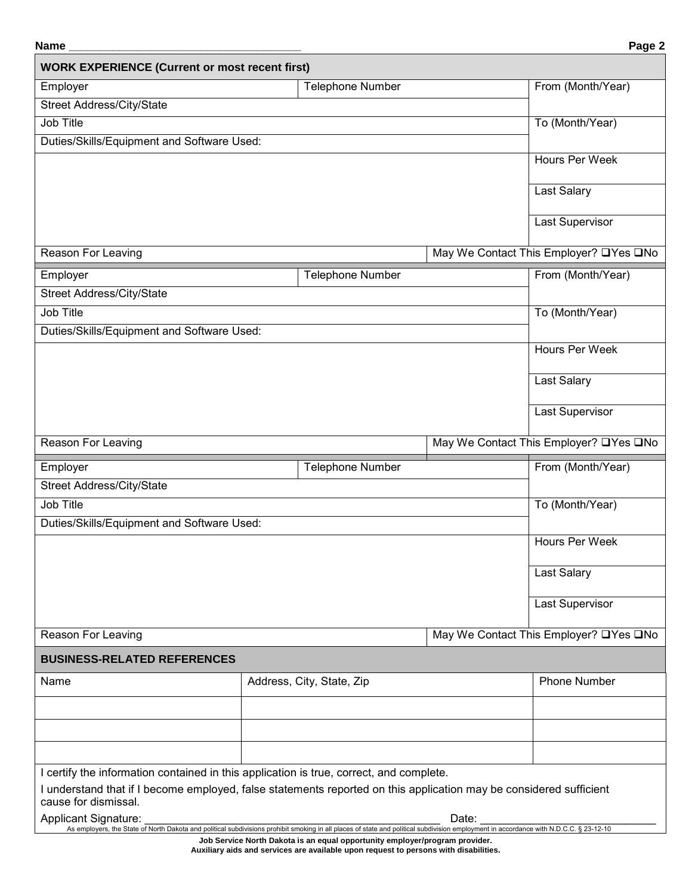| Name                                                                                                                                                                                                                                                          |                           |                                                                                                                                                                                                 | Page 2 |
|---------------------------------------------------------------------------------------------------------------------------------------------------------------------------------------------------------------------------------------------------------------|---------------------------|-------------------------------------------------------------------------------------------------------------------------------------------------------------------------------------------------|--------|
| <b>WORK EXPERIENCE (Current or most recent first)</b>                                                                                                                                                                                                         |                           |                                                                                                                                                                                                 |        |
| Employer                                                                                                                                                                                                                                                      | <b>Telephone Number</b>   | From (Month/Year)                                                                                                                                                                               |        |
| Street Address/City/State                                                                                                                                                                                                                                     |                           |                                                                                                                                                                                                 |        |
| Job Title                                                                                                                                                                                                                                                     |                           | To (Month/Year)                                                                                                                                                                                 |        |
| Duties/Skills/Equipment and Software Used:                                                                                                                                                                                                                    |                           |                                                                                                                                                                                                 |        |
|                                                                                                                                                                                                                                                               |                           | Hours Per Week                                                                                                                                                                                  |        |
|                                                                                                                                                                                                                                                               |                           | Last Salary                                                                                                                                                                                     |        |
|                                                                                                                                                                                                                                                               |                           | Last Supervisor                                                                                                                                                                                 |        |
| Reason For Leaving                                                                                                                                                                                                                                            |                           | May We Contact This Employer? LYes LNo                                                                                                                                                          |        |
| Employer                                                                                                                                                                                                                                                      | <b>Telephone Number</b>   | From (Month/Year)                                                                                                                                                                               |        |
| Street Address/City/State                                                                                                                                                                                                                                     |                           |                                                                                                                                                                                                 |        |
| Job Title                                                                                                                                                                                                                                                     |                           | To (Month/Year)                                                                                                                                                                                 |        |
| Duties/Skills/Equipment and Software Used:                                                                                                                                                                                                                    |                           |                                                                                                                                                                                                 |        |
|                                                                                                                                                                                                                                                               |                           | Hours Per Week                                                                                                                                                                                  |        |
|                                                                                                                                                                                                                                                               |                           | Last Salary                                                                                                                                                                                     |        |
|                                                                                                                                                                                                                                                               |                           | Last Supervisor                                                                                                                                                                                 |        |
| Reason For Leaving                                                                                                                                                                                                                                            |                           | May We Contact This Employer? LYes LNo                                                                                                                                                          |        |
| Employer                                                                                                                                                                                                                                                      | <b>Telephone Number</b>   | From (Month/Year)                                                                                                                                                                               |        |
| Street Address/City/State                                                                                                                                                                                                                                     |                           |                                                                                                                                                                                                 |        |
| Job Title                                                                                                                                                                                                                                                     |                           | To (Month/Year)                                                                                                                                                                                 |        |
| Duties/Skills/Equipment and Software Used:                                                                                                                                                                                                                    |                           |                                                                                                                                                                                                 |        |
|                                                                                                                                                                                                                                                               |                           | Hours Per Week                                                                                                                                                                                  |        |
|                                                                                                                                                                                                                                                               |                           | Last Salary                                                                                                                                                                                     |        |
|                                                                                                                                                                                                                                                               |                           | <b>Last Supervisor</b>                                                                                                                                                                          |        |
| <b>Reason For Leaving</b>                                                                                                                                                                                                                                     |                           | May We Contact This Employer? □ Yes □ No                                                                                                                                                        |        |
| <b>BUSINESS-RELATED REFERENCES</b>                                                                                                                                                                                                                            |                           |                                                                                                                                                                                                 |        |
| Name                                                                                                                                                                                                                                                          | Address, City, State, Zip | <b>Phone Number</b>                                                                                                                                                                             |        |
|                                                                                                                                                                                                                                                               |                           |                                                                                                                                                                                                 |        |
|                                                                                                                                                                                                                                                               |                           |                                                                                                                                                                                                 |        |
|                                                                                                                                                                                                                                                               |                           |                                                                                                                                                                                                 |        |
| I certify the information contained in this application is true, correct, and complete.<br>I understand that if I become employed, false statements reported on this application may be considered sufficient<br>cause for dismissal.<br>Applicant Signature: |                           | Date:<br>As employers, the State of North Dakota and political subdivisions prohibit smoking in all places of state and political subdivision employment in accordance with N.D.C.C. § 23-12-10 |        |

**Job Service North Dakota is an equal opportunity employer/program provider. Auxiliary aids and services are available upon request to persons with disabilities.**